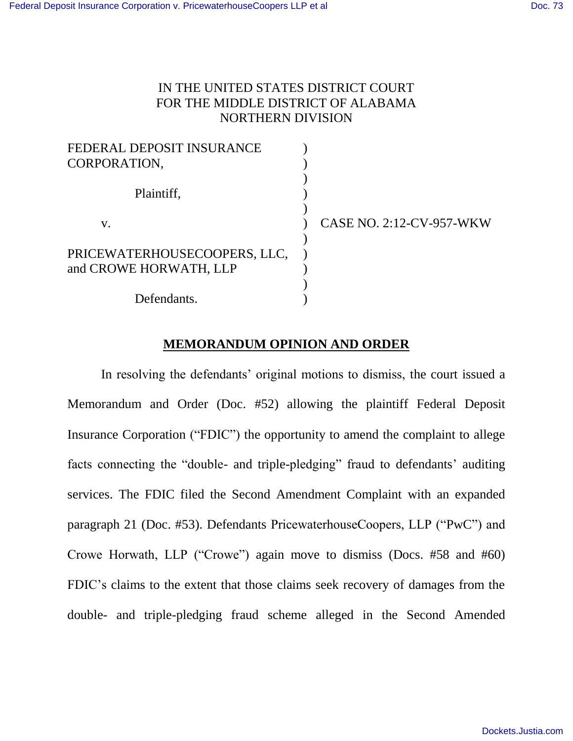## IN THE UNITED STATES DISTRICT COURT FOR THE MIDDLE DISTRICT OF ALABAMA NORTHERN DIVISION

| FEDERAL DEPOSIT INSURANCE<br>CORPORATION,              |                                 |
|--------------------------------------------------------|---------------------------------|
| Plaintiff,                                             |                                 |
| V.                                                     | <b>CASE NO. 2:12-CV-957-WKW</b> |
| PRICEWATERHOUSECOOPERS, LLC,<br>and CROWE HORWATH, LLP |                                 |
| Defendants.                                            |                                 |

# **MEMORANDUM OPINION AND ORDER**

In resolving the defendants' original motions to dismiss, the court issued a Memorandum and Order (Doc. #52) allowing the plaintiff Federal Deposit Insurance Corporation ("FDIC") the opportunity to amend the complaint to allege facts connecting the "double- and triple-pledging" fraud to defendants' auditing services. The FDIC filed the Second Amendment Complaint with an expanded paragraph 21 (Doc. #53). Defendants PricewaterhouseCoopers, LLP ("PwC") and Crowe Horwath, LLP ("Crowe") again move to dismiss (Docs. #58 and #60) FDIC's claims to the extent that those claims seek recovery of damages from the double- and triple-pledging fraud scheme alleged in the Second Amended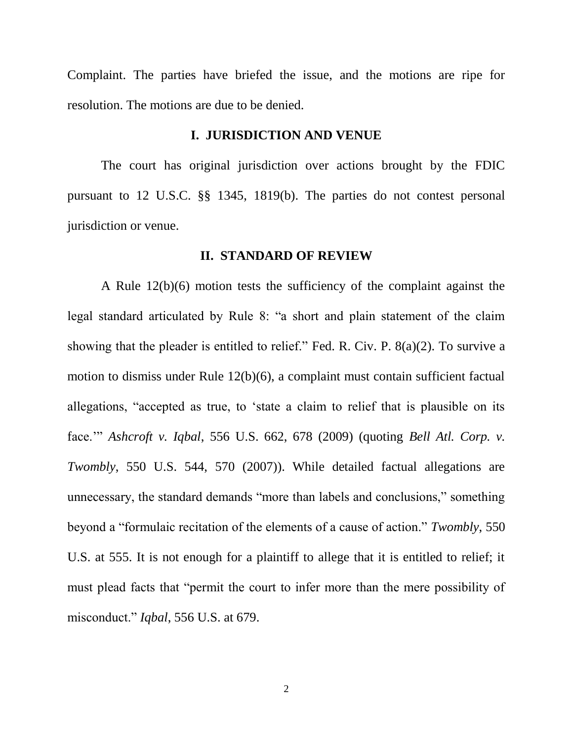Complaint. The parties have briefed the issue, and the motions are ripe for resolution. The motions are due to be denied.

#### **I. JURISDICTION AND VENUE**

The court has original jurisdiction over actions brought by the FDIC pursuant to 12 U.S.C. §§ 1345, 1819(b). The parties do not contest personal jurisdiction or venue.

#### **II. STANDARD OF REVIEW**

A Rule 12(b)(6) motion tests the sufficiency of the complaint against the legal standard articulated by Rule 8: "a short and plain statement of the claim showing that the pleader is entitled to relief." Fed. R. Civ. P. 8(a)(2). To survive a motion to dismiss under Rule 12(b)(6), a complaint must contain sufficient factual allegations, "accepted as true, to 'state a claim to relief that is plausible on its face.'" *Ashcroft v. Iqbal*, 556 U.S. 662, 678 (2009) (quoting *Bell Atl. Corp. v. Twombly*, 550 U.S. 544, 570 (2007)). While detailed factual allegations are unnecessary, the standard demands "more than labels and conclusions," something beyond a "formulaic recitation of the elements of a cause of action." *Twombly*, 550 U.S. at 555. It is not enough for a plaintiff to allege that it is entitled to relief; it must plead facts that "permit the court to infer more than the mere possibility of misconduct." *Iqbal*, 556 U.S. at 679.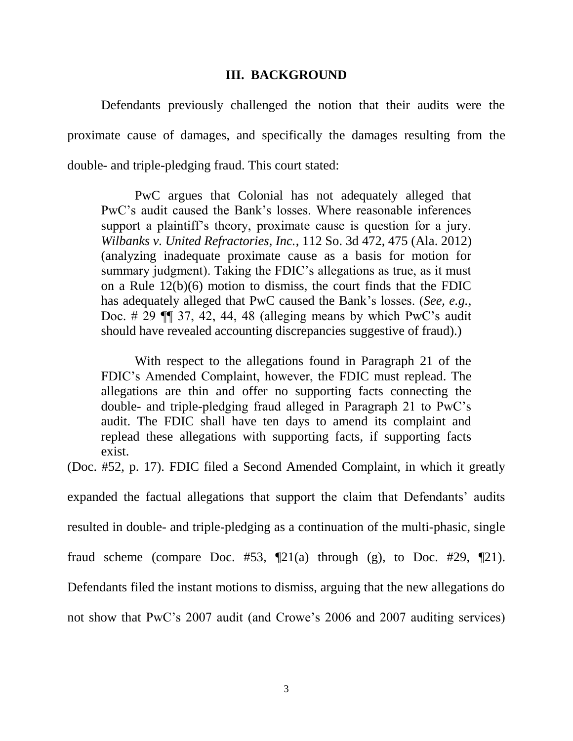#### **III. BACKGROUND**

Defendants previously challenged the notion that their audits were the proximate cause of damages, and specifically the damages resulting from the double- and triple-pledging fraud. This court stated:

PwC argues that Colonial has not adequately alleged that PwC's audit caused the Bank's losses. Where reasonable inferences support a plaintiff's theory, proximate cause is question for a jury. *Wilbanks v. United Refractories, Inc.*, 112 So. 3d 472, 475 (Ala. 2012) (analyzing inadequate proximate cause as a basis for motion for summary judgment). Taking the FDIC's allegations as true, as it must on a Rule 12(b)(6) motion to dismiss, the court finds that the FDIC has adequately alleged that PwC caused the Bank's losses. (*See, e.g.,*  Doc.  $\#$  29  $\P$  $\qquad$  37, 42, 44, 48 (alleging means by which PwC's audit should have revealed accounting discrepancies suggestive of fraud).)

With respect to the allegations found in Paragraph 21 of the FDIC's Amended Complaint, however, the FDIC must replead. The allegations are thin and offer no supporting facts connecting the double- and triple-pledging fraud alleged in Paragraph 21 to PwC's audit. The FDIC shall have ten days to amend its complaint and replead these allegations with supporting facts, if supporting facts exist.

(Doc. #52, p. 17). FDIC filed a Second Amended Complaint, in which it greatly

expanded the factual allegations that support the claim that Defendants' audits

resulted in double- and triple-pledging as a continuation of the multi-phasic, single

fraud scheme (compare Doc. #53,  $\P$ 21(a) through (g), to Doc. #29,  $\P$ 21).

Defendants filed the instant motions to dismiss, arguing that the new allegations do

not show that PwC's 2007 audit (and Crowe's 2006 and 2007 auditing services)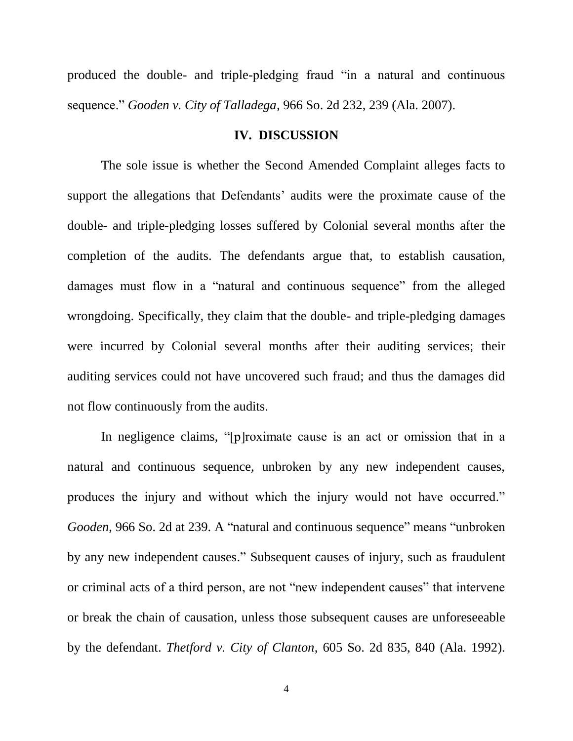produced the double- and triple-pledging fraud "in a natural and continuous sequence." *Gooden v. City of Talladega*, 966 So. 2d 232, 239 (Ala. 2007).

#### **IV. DISCUSSION**

The sole issue is whether the Second Amended Complaint alleges facts to support the allegations that Defendants' audits were the proximate cause of the double- and triple-pledging losses suffered by Colonial several months after the completion of the audits. The defendants argue that, to establish causation, damages must flow in a "natural and continuous sequence" from the alleged wrongdoing. Specifically, they claim that the double- and triple-pledging damages were incurred by Colonial several months after their auditing services; their auditing services could not have uncovered such fraud; and thus the damages did not flow continuously from the audits.

In negligence claims, "[p]roximate cause is an act or omission that in a natural and continuous sequence, unbroken by any new independent causes, produces the injury and without which the injury would not have occurred." *Gooden*, 966 So. 2d at 239. A "natural and continuous sequence" means "unbroken by any new independent causes." Subsequent causes of injury, such as fraudulent or criminal acts of a third person, are not "new independent causes" that intervene or break the chain of causation, unless those subsequent causes are unforeseeable by the defendant. *Thetford v. City of Clanton*, 605 So. 2d 835, 840 (Ala. 1992).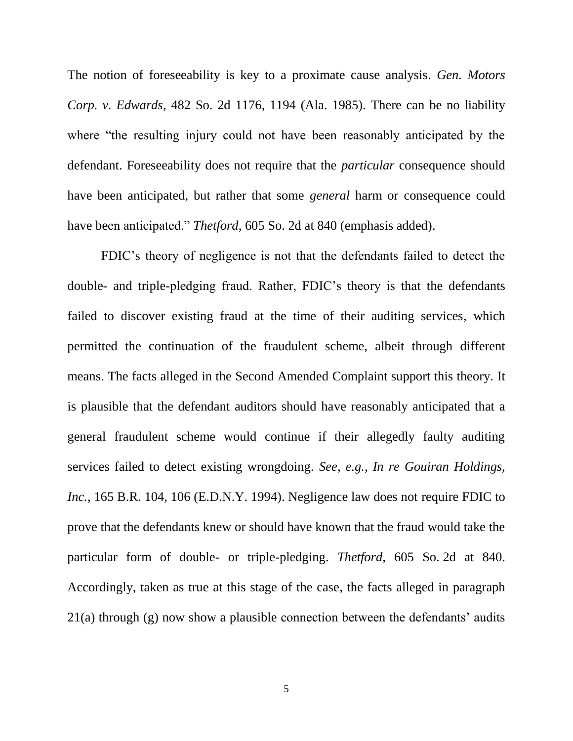The notion of foreseeability is key to a proximate cause analysis. *Gen. Motors Corp. v. Edwards*, 482 So. 2d 1176, 1194 (Ala. 1985). There can be no liability where "the resulting injury could not have been reasonably anticipated by the defendant. Foreseeability does not require that the *particular* consequence should have been anticipated, but rather that some *general* harm or consequence could have been anticipated." *Thetford*, 605 So. 2d at 840 (emphasis added).

FDIC's theory of negligence is not that the defendants failed to detect the double- and triple-pledging fraud. Rather, FDIC's theory is that the defendants failed to discover existing fraud at the time of their auditing services, which permitted the continuation of the fraudulent scheme, albeit through different means. The facts alleged in the Second Amended Complaint support this theory. It is plausible that the defendant auditors should have reasonably anticipated that a general fraudulent scheme would continue if their allegedly faulty auditing services failed to detect existing wrongdoing. *See, e.g., In re Gouiran Holdings, Inc.*, 165 B.R. 104, 106 (E.D.N.Y. 1994). Negligence law does not require FDIC to prove that the defendants knew or should have known that the fraud would take the particular form of double- or triple-pledging. *Thetford*, 605 So. 2d at 840. Accordingly, taken as true at this stage of the case, the facts alleged in paragraph 21(a) through (g) now show a plausible connection between the defendants' audits